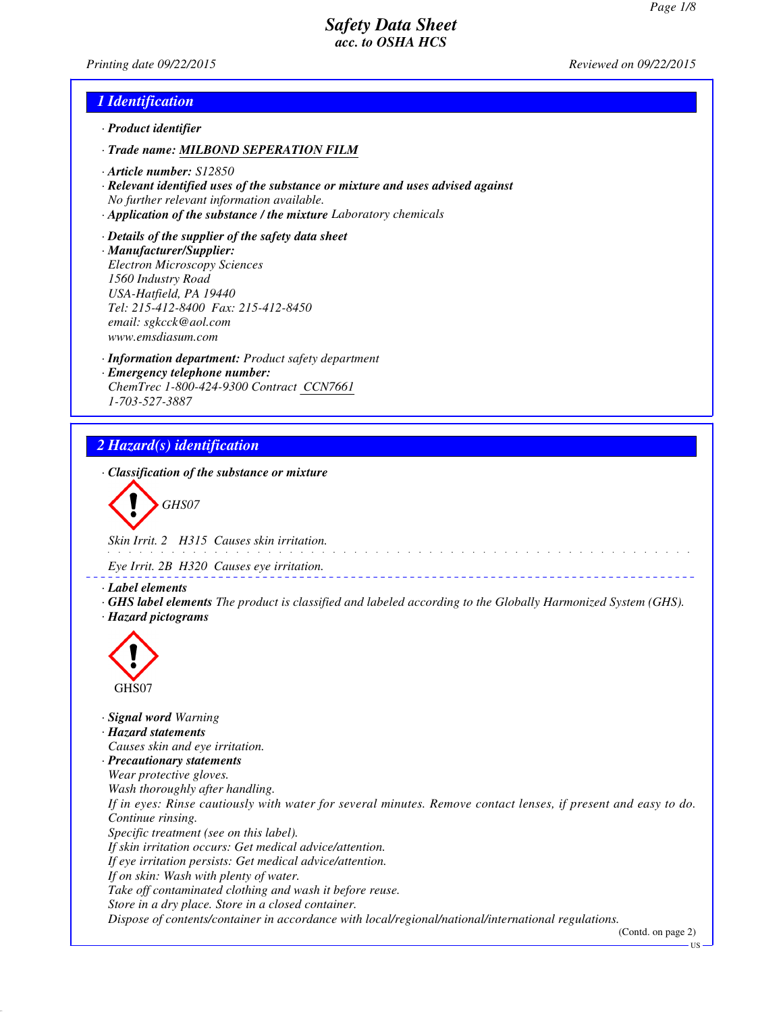*Printing date 09/22/2015 Reviewed on 09/22/2015*

### *1 Identification*

- *· Product identifier*
- *· Trade name: MILBOND SEPERATION FILM*
- *· Article number: S12850*
- *· Relevant identified uses of the substance or mixture and uses advised against No further relevant information available.*
- *· Application of the substance / the mixture Laboratory chemicals*
- *· Details of the supplier of the safety data sheet · Manufacturer/Supplier: Electron Microscopy Sciences 1560 Industry Road USA-Hatfield, PA 19440 Tel: 215-412-8400 Fax: 215-412-8450 email: sgkcck@aol.com www.emsdiasum.com*
- *· Information department: Product safety department · Emergency telephone number: ChemTrec 1-800-424-9300 Contract CCN7661 1-703-527-3887*

### *2 Hazard(s) identification*

*· Classification of the substance or mixture*

*GHS07*

*Skin Irrit. 2 H315 Causes skin irritation.*

*Eye Irrit. 2B H320 Causes eye irritation.*

- *· Label elements*
- *· GHS label elements The product is classified and labeled according to the Globally Harmonized System (GHS). · Hazard pictograms*



*· Signal word Warning · Hazard statements Causes skin and eye irritation. · Precautionary statements Wear protective gloves. Wash thoroughly after handling. If in eyes: Rinse cautiously with water for several minutes. Remove contact lenses, if present and easy to do. Continue rinsing. Specific treatment (see on this label). If skin irritation occurs: Get medical advice/attention. If eye irritation persists: Get medical advice/attention. If on skin: Wash with plenty of water. Take off contaminated clothing and wash it before reuse. Store in a dry place. Store in a closed container. Dispose of contents/container in accordance with local/regional/national/international regulations.*

(Contd. on page 2)

US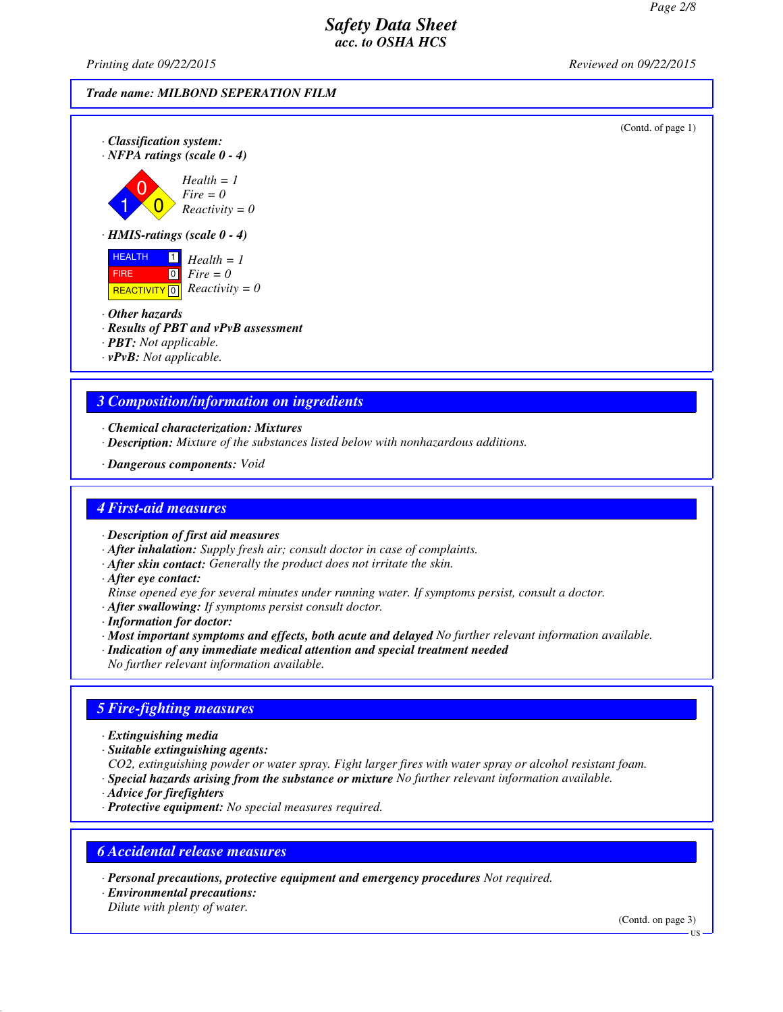*Printing date 09/22/2015 Reviewed on 09/22/2015*

#### *Trade name: MILBOND SEPERATION FILM*

*Fire = 0*

(Contd. of page 1)

*· Classification system: · NFPA ratings (scale 0 - 4)*

$$
Health = 1
$$
  
 
$$
Fieldth = 1
$$
  
 
$$
Fire = 0
$$
  
 
$$
Reactivity = 0
$$

*· HMIS-ratings (scale 0 - 4)*

**HEALTH**  FIRE **REACTIVITY** 0  $\mathbf{1}$  *Health* = 1 0 *Fire = 0 Reactivity = 0*

- *· Other hazards*
- *· Results of PBT and vPvB assessment*
- *· PBT: Not applicable.*
- *· vPvB: Not applicable.*

### *3 Composition/information on ingredients*

- *· Chemical characterization: Mixtures*
- *· Description: Mixture of the substances listed below with nonhazardous additions.*
- *· Dangerous components: Void*

#### *4 First-aid measures*

*· Description of first aid measures*

- *· After inhalation: Supply fresh air; consult doctor in case of complaints.*
- *· After skin contact: Generally the product does not irritate the skin.*
- *· After eye contact:*

*Rinse opened eye for several minutes under running water. If symptoms persist, consult a doctor.*

- *· After swallowing: If symptoms persist consult doctor.*
- *· Information for doctor:*
- *· Most important symptoms and effects, both acute and delayed No further relevant information available.*
- *· Indication of any immediate medical attention and special treatment needed*

*No further relevant information available.*

# *5 Fire-fighting measures*

- *· Extinguishing media*
- *· Suitable extinguishing agents:*

*CO2, extinguishing powder or water spray. Fight larger fires with water spray or alcohol resistant foam. · Special hazards arising from the substance or mixture No further relevant information available.*

- *· Advice for firefighters*
- *· Protective equipment: No special measures required.*

### *6 Accidental release measures*

*· Personal precautions, protective equipment and emergency procedures Not required.*

*· Environmental precautions: Dilute with plenty of water.*

(Contd. on page 3)

 $\overline{H}S$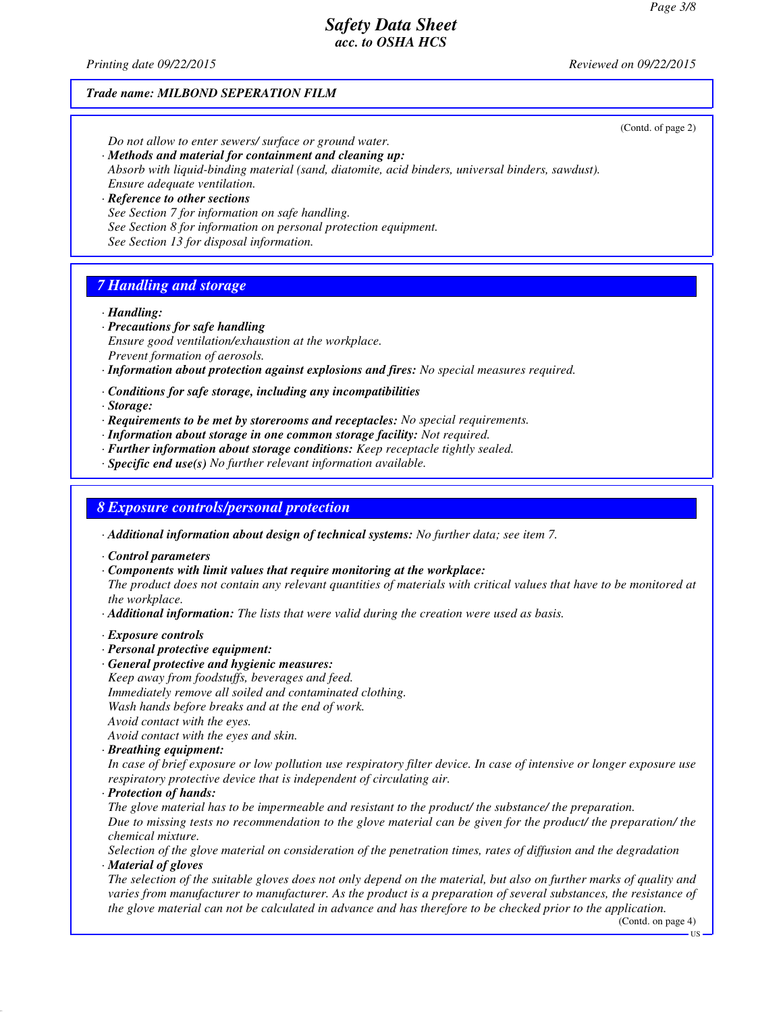*Printing date 09/22/2015 Reviewed on 09/22/2015*

#### *Trade name: MILBOND SEPERATION FILM*

(Contd. of page 2)

*Do not allow to enter sewers/ surface or ground water.*

- *· Methods and material for containment and cleaning up: Absorb with liquid-binding material (sand, diatomite, acid binders, universal binders, sawdust). Ensure adequate ventilation.*
- *· Reference to other sections See Section 7 for information on safe handling. See Section 8 for information on personal protection equipment. See Section 13 for disposal information.*

# *7 Handling and storage*

*· Handling:*

- *· Precautions for safe handling*
- *Ensure good ventilation/exhaustion at the workplace. Prevent formation of aerosols.*
- *· Information about protection against explosions and fires: No special measures required.*
- *· Conditions for safe storage, including any incompatibilities*

*· Storage:*

- *· Requirements to be met by storerooms and receptacles: No special requirements.*
- *· Information about storage in one common storage facility: Not required.*
- *· Further information about storage conditions: Keep receptacle tightly sealed.*
- *· Specific end use(s) No further relevant information available.*

#### *8 Exposure controls/personal protection*

*· Additional information about design of technical systems: No further data; see item 7.*

- *· Control parameters*
- *· Components with limit values that require monitoring at the workplace:*

*The product does not contain any relevant quantities of materials with critical values that have to be monitored at the workplace.*

- *· Additional information: The lists that were valid during the creation were used as basis.*
- *· Exposure controls*
- *· Personal protective equipment:*
- *· General protective and hygienic measures:*
- *Keep away from foodstuffs, beverages and feed.*
- *Immediately remove all soiled and contaminated clothing.*
- *Wash hands before breaks and at the end of work.*

*Avoid contact with the eyes.*

*Avoid contact with the eyes and skin.*

*· Breathing equipment:*

*In case of brief exposure or low pollution use respiratory filter device. In case of intensive or longer exposure use respiratory protective device that is independent of circulating air.*

*· Protection of hands:*

*The glove material has to be impermeable and resistant to the product/ the substance/ the preparation. Due to missing tests no recommendation to the glove material can be given for the product/ the preparation/ the chemical mixture.*

*Selection of the glove material on consideration of the penetration times, rates of diffusion and the degradation · Material of gloves*

*The selection of the suitable gloves does not only depend on the material, but also on further marks of quality and varies from manufacturer to manufacturer. As the product is a preparation of several substances, the resistance of the glove material can not be calculated in advance and has therefore to be checked prior to the application.*

(Contd. on page 4)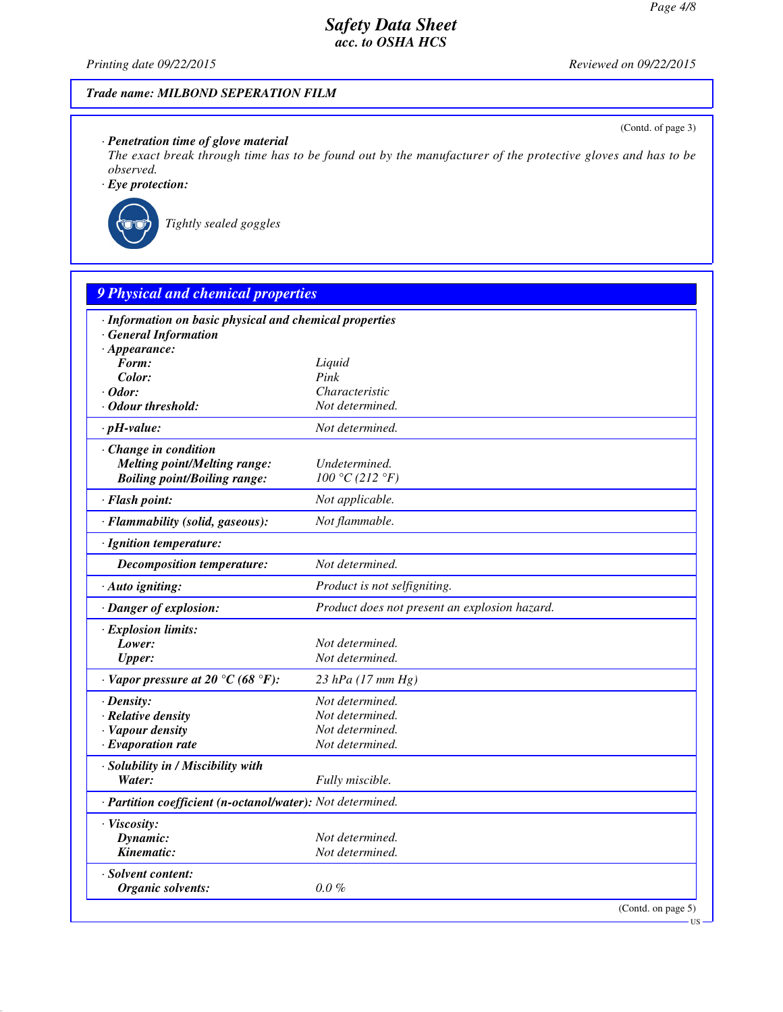*Printing date 09/22/2015 Reviewed on 09/22/2015*

(Contd. of page 3)

US

### *Trade name: MILBOND SEPERATION FILM*

### *· Penetration time of glove material*

*The exact break through time has to be found out by the manufacturer of the protective gloves and has to be observed.*

*· Eye protection:*



*Tightly sealed goggles*

| · Information on basic physical and chemical properties    |                                               |  |
|------------------------------------------------------------|-----------------------------------------------|--|
| <b>General Information</b>                                 |                                               |  |
| $\cdot$ Appearance:<br>Form:                               |                                               |  |
| Color:                                                     | Liquid<br>Pink                                |  |
| $\cdot$ Odor:                                              | Characteristic                                |  |
| · Odour threshold:                                         | Not determined.                               |  |
| $\cdot$ pH-value:                                          | Not determined.                               |  |
| Change in condition                                        |                                               |  |
| <b>Melting point/Melting range:</b>                        | Undetermined.                                 |  |
| <b>Boiling point/Boiling range:</b>                        | 100 °C (212 °F)                               |  |
| · Flash point:                                             | Not applicable.                               |  |
| · Flammability (solid, gaseous):                           | Not flammable.                                |  |
| · Ignition temperature:                                    |                                               |  |
| <b>Decomposition temperature:</b>                          | Not determined.                               |  |
| $\cdot$ Auto igniting:                                     | Product is not selfigniting.                  |  |
| · Danger of explosion:                                     | Product does not present an explosion hazard. |  |
| · Explosion limits:                                        |                                               |  |
| Lower:                                                     | Not determined.                               |  |
| <b>Upper:</b>                                              | Not determined.                               |  |
| $\cdot$ Vapor pressure at 20 °C (68 °F):                   | $23$ hPa (17 mm Hg)                           |  |
| $\cdot$ Density:                                           | Not determined.                               |  |
| · Relative density                                         | Not determined.                               |  |
| · Vapour density                                           | Not determined.                               |  |
| $\cdot$ Evaporation rate                                   | Not determined.                               |  |
| · Solubility in / Miscibility with                         |                                               |  |
| Water:                                                     | Fully miscible.                               |  |
| · Partition coefficient (n-octanol/water): Not determined. |                                               |  |
| · Viscosity:                                               |                                               |  |
| Dynamic:                                                   | Not determined.                               |  |
| Kinematic:                                                 | Not determined.                               |  |
| · Solvent content:                                         |                                               |  |
| <b>Organic solvents:</b>                                   | $0.0\%$                                       |  |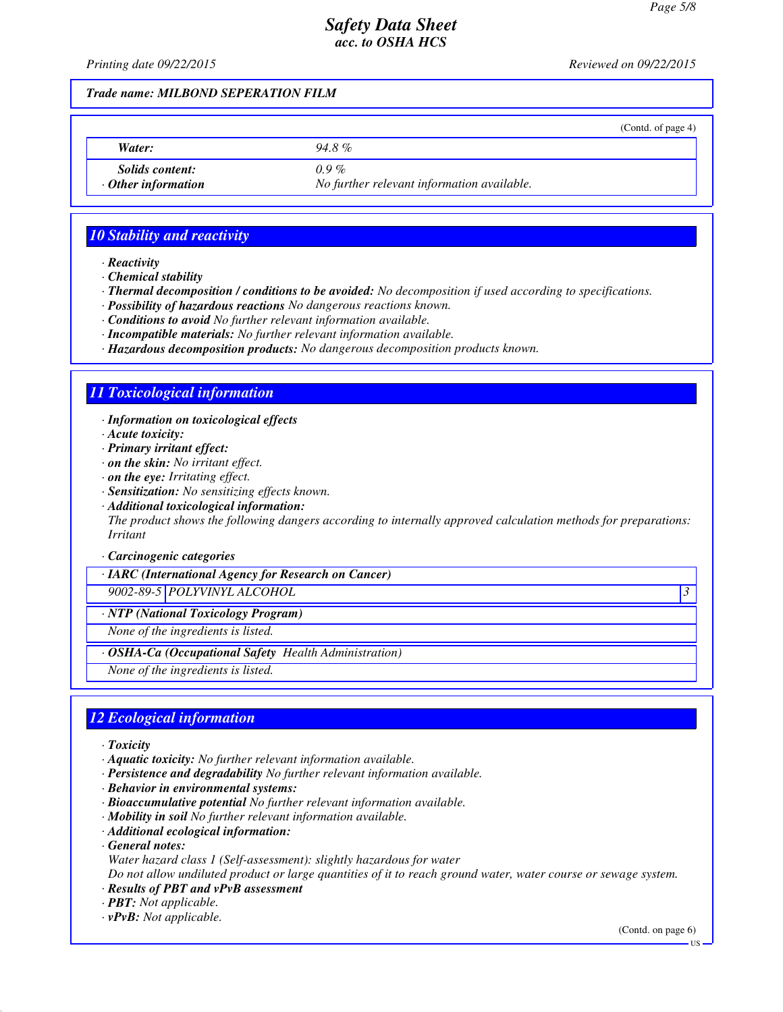*Printing date 09/22/2015 Reviewed on 09/22/2015*

#### *Trade name: MILBOND SEPERATION FILM*

| Water:                                              | 94.8%                                                 |  |
|-----------------------------------------------------|-------------------------------------------------------|--|
| <i>Solids content:</i><br>$\cdot$ Other information | $0.9\%$<br>No further relevant information available. |  |

## *10 Stability and reactivity*

*· Reactivity*

*· Chemical stability*

*· Thermal decomposition / conditions to be avoided: No decomposition if used according to specifications.*

- *· Possibility of hazardous reactions No dangerous reactions known.*
- *· Conditions to avoid No further relevant information available.*
- *· Incompatible materials: No further relevant information available.*
- *· Hazardous decomposition products: No dangerous decomposition products known.*

### *11 Toxicological information*

*· Information on toxicological effects*

*· Acute toxicity:*

*· Primary irritant effect:*

- *· on the skin: No irritant effect.*
- *· on the eye: Irritating effect.*
- *· Sensitization: No sensitizing effects known.*
- *· Additional toxicological information:*

*The product shows the following dangers according to internally approved calculation methods for preparations: Irritant*

*· Carcinogenic categories*

*· IARC (International Agency for Research on Cancer)*

*9002-89-5 POLYVINYL ALCOHOL 3* 

*· NTP (National Toxicology Program)*

*None of the ingredients is listed.*

*· OSHA-Ca (Occupational Safety Health Administration)*

*None of the ingredients is listed.*

### *12 Ecological information*

*· Toxicity*

- *· Aquatic toxicity: No further relevant information available.*
- *· Persistence and degradability No further relevant information available.*
- *· Behavior in environmental systems:*
- *· Bioaccumulative potential No further relevant information available.*
- *· Mobility in soil No further relevant information available.*
- *· Additional ecological information:*

*· General notes:*

*Water hazard class 1 (Self-assessment): slightly hazardous for water*

*Do not allow undiluted product or large quantities of it to reach ground water, water course or sewage system.*

- *· Results of PBT and vPvB assessment*
- *· PBT: Not applicable.*
- *· vPvB: Not applicable.*

(Contd. on page 6)

US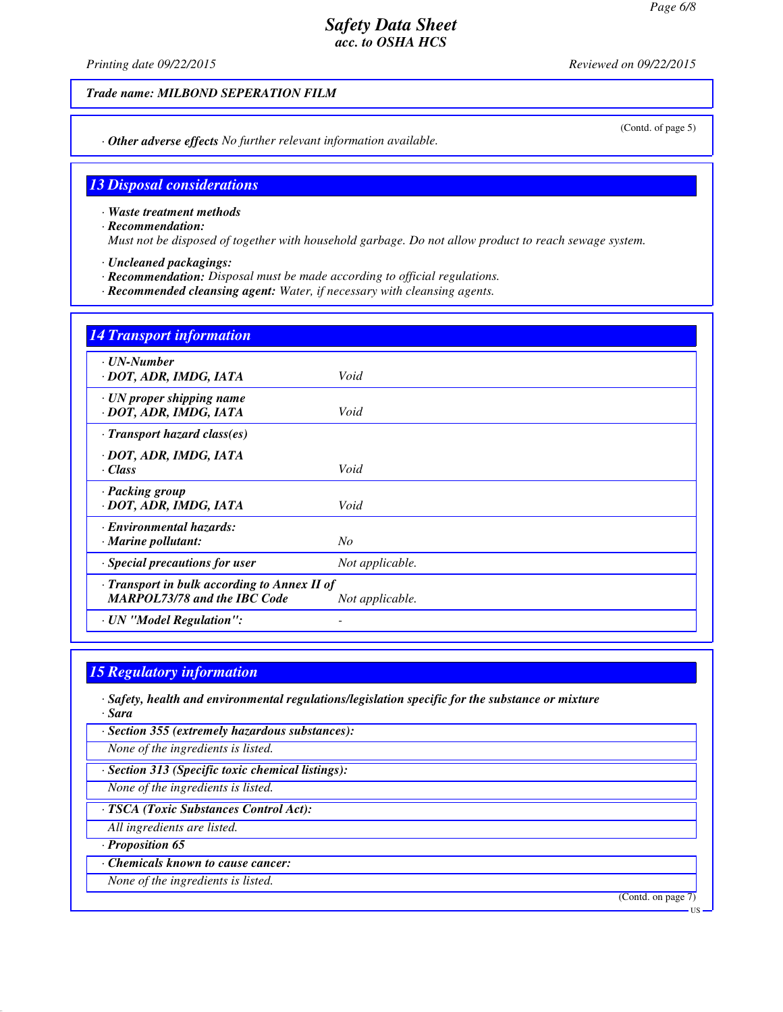*Printing date 09/22/2015 Reviewed on 09/22/2015*

(Contd. of page 5)

*Trade name: MILBOND SEPERATION FILM*

*· Other adverse effects No further relevant information available.*

#### *13 Disposal considerations*

*· Waste treatment methods*

*· Recommendation:*

*Must not be disposed of together with household garbage. Do not allow product to reach sewage system.*

*· Uncleaned packagings:*

*· Recommendation: Disposal must be made according to official regulations.*

*· Recommended cleansing agent: Water, if necessary with cleansing agents.*

| <b>14 Transport information</b>                                                     |                 |  |
|-------------------------------------------------------------------------------------|-----------------|--|
| $\cdot$ UN-Number<br>· DOT, ADR, IMDG, IATA                                         | Void            |  |
| · UN proper shipping name<br>· DOT, ADR, IMDG, IATA                                 | Void            |  |
| · Transport hazard class(es)                                                        |                 |  |
| · DOT, ADR, IMDG, IATA<br>$\cdot Class$                                             | Void            |  |
| · Packing group<br>· DOT, ADR, IMDG, IATA                                           | Void            |  |
| · Environmental hazards:<br>$\cdot$ Marine pollutant:                               | N <sub>O</sub>  |  |
| $\cdot$ Special precautions for user                                                | Not applicable. |  |
| · Transport in bulk according to Annex II of<br><b>MARPOL73/78 and the IBC Code</b> | Not applicable. |  |
| · UN "Model Regulation":                                                            |                 |  |

#### *15 Regulatory information*

*· Safety, health and environmental regulations/legislation specific for the substance or mixture · Sara*

*· Section 355 (extremely hazardous substances):*

*None of the ingredients is listed.*

*· Section 313 (Specific toxic chemical listings):*

*None of the ingredients is listed.*

*· TSCA (Toxic Substances Control Act):*

*All ingredients are listed.*

*· Proposition 65*

*· Chemicals known to cause cancer:*

*None of the ingredients is listed.*

(Contd. on page 7)

US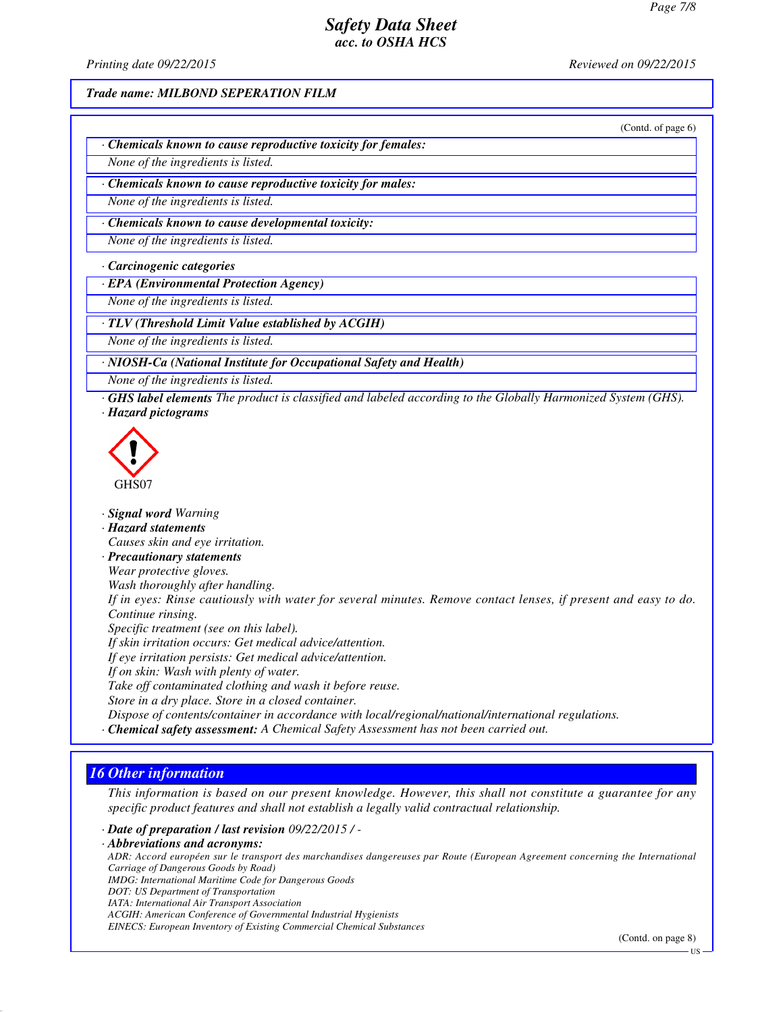*Printing date 09/22/2015 Reviewed on 09/22/2015*

*Trade name: MILBOND SEPERATION FILM*

(Contd. of page 6)

*· Chemicals known to cause reproductive toxicity for females:*

*None of the ingredients is listed.*

*· Chemicals known to cause reproductive toxicity for males:*

*None of the ingredients is listed.*

*· Chemicals known to cause developmental toxicity:*

*None of the ingredients is listed.*

*· Carcinogenic categories*

*· EPA (Environmental Protection Agency)*

*None of the ingredients is listed.*

*· TLV (Threshold Limit Value established by ACGIH)*

*None of the ingredients is listed.*

*· NIOSH-Ca (National Institute for Occupational Safety and Health)*

- *None of the ingredients is listed.*
- *· GHS label elements The product is classified and labeled according to the Globally Harmonized System (GHS). · Hazard pictograms*



*· Signal word Warning · Hazard statements Causes skin and eye irritation. · Precautionary statements Wear protective gloves. Wash thoroughly after handling. If in eyes: Rinse cautiously with water for several minutes. Remove contact lenses, if present and easy to do. Continue rinsing. Specific treatment (see on this label). If skin irritation occurs: Get medical advice/attention. If eye irritation persists: Get medical advice/attention. If on skin: Wash with plenty of water. Take off contaminated clothing and wash it before reuse. Store in a dry place. Store in a closed container. Dispose of contents/container in accordance with local/regional/national/international regulations. · Chemical safety assessment: A Chemical Safety Assessment has not been carried out.*

### *16 Other information*

*This information is based on our present knowledge. However, this shall not constitute a guarantee for any specific product features and shall not establish a legally valid contractual relationship.*

*· Date of preparation / last revision 09/22/2015 / - · Abbreviations and acronyms: ADR: Accord européen sur le transport des marchandises dangereuses par Route (European Agreement concerning the International Carriage of Dangerous Goods by Road) IMDG: International Maritime Code for Dangerous Goods DOT: US Department of Transportation IATA: International Air Transport Association ACGIH: American Conference of Governmental Industrial Hygienists EINECS: European Inventory of Existing Commercial Chemical Substances*

(Contd. on page 8)